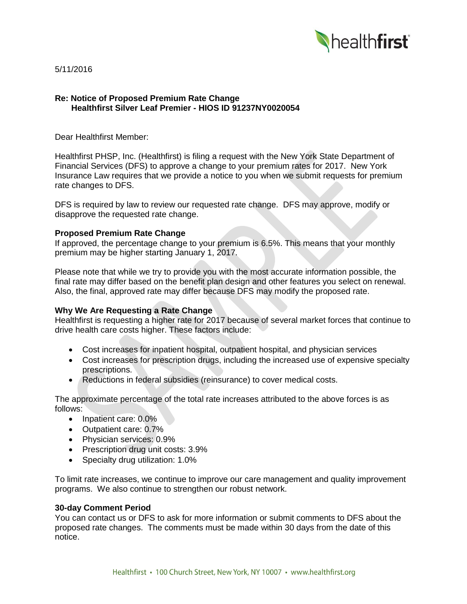

5/11/2016

### **Re: Notice of Proposed Premium Rate Change Healthfirst Silver Leaf Premier - HIOS ID 91237NY0020054**

Dear Healthfirst Member:

Healthfirst PHSP, Inc. (Healthfirst) is filing a request with the New York State Department of Financial Services (DFS) to approve a change to your premium rates for 2017. New York Insurance Law requires that we provide a notice to you when we submit requests for premium rate changes to DFS.

DFS is required by law to review our requested rate change. DFS may approve, modify or disapprove the requested rate change.

### **Proposed Premium Rate Change**

If approved, the percentage change to your premium is 6.5%. This means that your monthly premium may be higher starting January 1, 2017.

Please note that while we try to provide you with the most accurate information possible, the final rate may differ based on the benefit plan design and other features you select on renewal. Also, the final, approved rate may differ because DFS may modify the proposed rate.

# **Why We Are Requesting a Rate Change**

Healthfirst is requesting a higher rate for 2017 because of several market forces that continue to drive health care costs higher. These factors include:

- Cost increases for inpatient hospital, outpatient hospital, and physician services
- Cost increases for prescription drugs, including the increased use of expensive specialty prescriptions.
- Reductions in federal subsidies (reinsurance) to cover medical costs.

The approximate percentage of the total rate increases attributed to the above forces is as follows:

- Inpatient care: 0.0%
- Outpatient care: 0.7%
- Physician services: 0.9%
- Prescription drug unit costs: 3.9%
- Specialty drug utilization: 1.0%

To limit rate increases, we continue to improve our care management and quality improvement programs. We also continue to strengthen our robust network.

#### **30-day Comment Period**

You can contact us or DFS to ask for more information or submit comments to DFS about the proposed rate changes. The comments must be made within 30 days from the date of this notice.